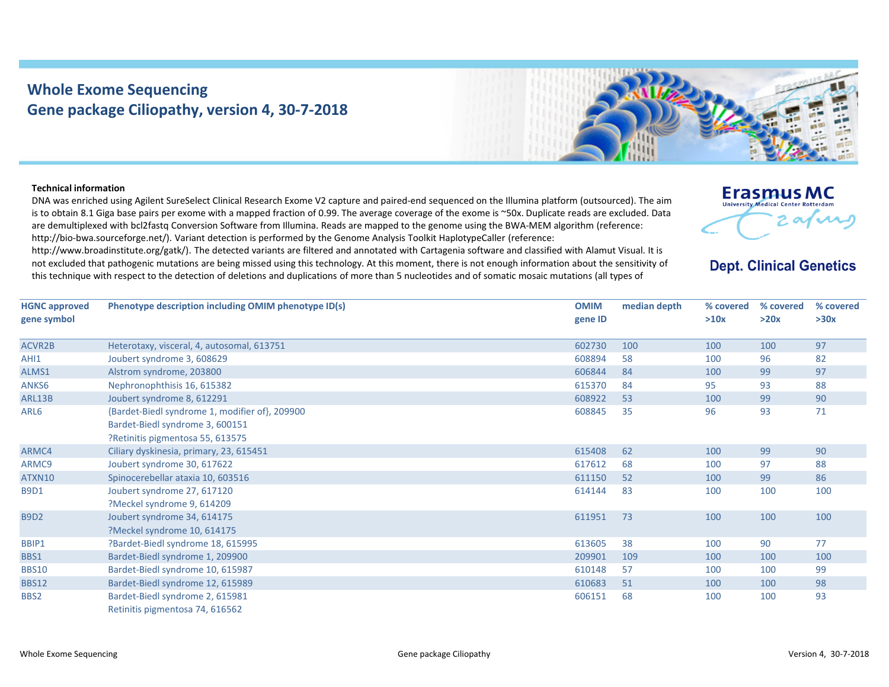## **Whole Exome Sequencing Gene package Ciliopathy, version 4, 30‐7‐2018**



## **Technical information**

DNA was enriched using Agilent SureSelect Clinical Research Exome V2 capture and paired‐end sequenced on the Illumina platform (outsourced). The aim is to obtain 8.1 Giga base pairs per exome with <sup>a</sup> mapped fraction of 0.99. The average coverage of the exome is ~50x. Duplicate reads are excluded. Data are demultiplexed with bcl2fastq Conversion Software from Illumina. Reads are mapped to the genome using the BWA‐MEM algorithm (reference: http://bio-bwa.sourceforge.net/). Variant detection is performed by the Genome Analysis Toolkit HaplotypeCaller (reference:

http://www.broadinstitute.org/gatk/). The detected variants are filtered and annotated with Cartagenia software and classified with Alamut Visual. It is not excluded that pathogenic mutations are being missed using this technology. At this moment, there is not enough information about the sensitivity of this technique with respect to the detection of deletions and duplications of more than 5 nucleotides and of somatic mosaic mutations (all types of



## **Dept. Clinical Genetics**

| <b>HGNC approved</b> | Phenotype description including OMIM phenotype ID(s) | <b>OMIM</b> | median depth | % covered<br>>10x | % covered<br>>20x | % covered<br>>30x |
|----------------------|------------------------------------------------------|-------------|--------------|-------------------|-------------------|-------------------|
| gene symbol          |                                                      | gene ID     |              |                   |                   |                   |
| <b>ACVR2B</b>        | Heterotaxy, visceral, 4, autosomal, 613751           | 602730      | 100          | 100               | 100               | 97                |
| AHI1                 | Joubert syndrome 3, 608629                           | 608894      | 58           | 100               | 96                | 82                |
| ALMS1                | Alstrom syndrome, 203800                             | 606844      | 84           | 100               | 99                | 97                |
| ANKS6                | Nephronophthisis 16, 615382                          | 615370      | 84           | 95                | 93                | 88                |
| ARL13B               | Joubert syndrome 8, 612291                           | 608922      | 53           | 100               | 99                | 90                |
| ARL6                 | {Bardet-Biedl syndrome 1, modifier of}, 209900       | 608845      | 35           | 96                | 93                | 71                |
|                      | Bardet-Biedl syndrome 3, 600151                      |             |              |                   |                   |                   |
|                      | ?Retinitis pigmentosa 55, 613575                     |             |              |                   |                   |                   |
| ARMC4                | Ciliary dyskinesia, primary, 23, 615451              | 615408      | 62           | 100               | 99                | 90                |
| ARMC9                | Joubert syndrome 30, 617622                          | 617612      | 68           | 100               | 97                | 88                |
| ATXN10               | Spinocerebellar ataxia 10, 603516                    | 611150      | 52           | 100               | 99                | 86                |
| <b>B9D1</b>          | Joubert syndrome 27, 617120                          | 614144      | 83           | 100               | 100               | 100               |
|                      | ?Meckel syndrome 9, 614209                           |             |              |                   |                   |                   |
| <b>B9D2</b>          | Joubert syndrome 34, 614175                          | 611951      | 73           | 100               | 100               | 100               |
|                      | ?Meckel syndrome 10, 614175                          |             |              |                   |                   |                   |
| BBIP1                | ?Bardet-Biedl syndrome 18, 615995                    | 613605      | 38           | 100               | 90                | 77                |
| BBS1                 | Bardet-Biedl syndrome 1, 209900                      | 209901      | 109          | 100               | 100               | 100               |
| <b>BBS10</b>         | Bardet-Biedl syndrome 10, 615987                     | 610148      | 57           | 100               | 100               | 99                |
| <b>BBS12</b>         | Bardet-Biedl syndrome 12, 615989                     | 610683      | 51           | 100               | 100               | 98                |
| BBS2                 | Bardet-Biedl syndrome 2, 615981                      | 606151      | 68           | 100               | 100               | 93                |
|                      | Retinitis pigmentosa 74, 616562                      |             |              |                   |                   |                   |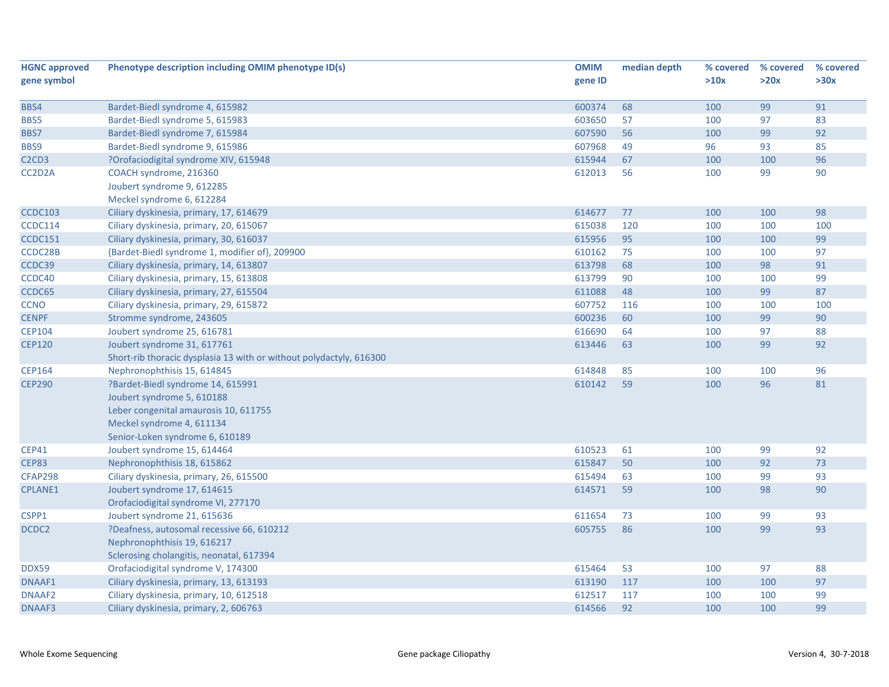| <b>HGNC approved</b>                       | Phenotype description including OMIM phenotype ID(s)                | <b>OMIM</b> | median depth | % covered | % covered | % covered |
|--------------------------------------------|---------------------------------------------------------------------|-------------|--------------|-----------|-----------|-----------|
| gene symbol                                |                                                                     | gene ID     |              | >10x      | >20x      | >30x      |
|                                            |                                                                     |             |              |           |           |           |
| BBS4                                       | Bardet-Biedl syndrome 4, 615982                                     | 600374      | 68           | 100       | 99        | 91        |
| BBS5                                       | Bardet-Biedl syndrome 5, 615983                                     | 603650      | 57           | 100       | 97        | 83        |
| BBS7                                       | Bardet-Biedl syndrome 7, 615984                                     | 607590      | 56           | 100       | 99        | 92        |
| BBS9                                       | Bardet-Biedl syndrome 9, 615986                                     | 607968      | 49           | 96        | 93        | 85        |
| C <sub>2</sub> C <sub>D</sub> <sub>3</sub> | ?Orofaciodigital syndrome XIV, 615948                               | 615944      | 67           | 100       | 100       | 96        |
| CC2D2A                                     | COACH syndrome, 216360                                              | 612013      | 56           | 100       | 99        | 90        |
|                                            | Joubert syndrome 9, 612285                                          |             |              |           |           |           |
|                                            | Meckel syndrome 6, 612284                                           |             |              |           |           |           |
| <b>CCDC103</b>                             | Ciliary dyskinesia, primary, 17, 614679                             | 614677      | 77           | 100       | 100       | 98        |
| <b>CCDC114</b>                             | Ciliary dyskinesia, primary, 20, 615067                             | 615038      | 120          | 100       | 100       | 100       |
| <b>CCDC151</b>                             | Ciliary dyskinesia, primary, 30, 616037                             | 615956      | 95           | 100       | 100       | 99        |
| CCDC28B                                    | {Bardet-Biedl syndrome 1, modifier of}, 209900                      | 610162      | 75           | 100       | 100       | 97        |
| CCDC39                                     | Ciliary dyskinesia, primary, 14, 613807                             | 613798      | 68           | 100       | 98        | 91        |
| CCDC40                                     | Ciliary dyskinesia, primary, 15, 613808                             | 613799      | 90           | 100       | 100       | 99        |
| CCDC65                                     | Ciliary dyskinesia, primary, 27, 615504                             | 611088      | 48           | 100       | 99        | 87        |
| <b>CCNO</b>                                | Ciliary dyskinesia, primary, 29, 615872                             | 607752      | 116          | 100       | 100       | 100       |
| <b>CENPF</b>                               | Stromme syndrome, 243605                                            | 600236      | 60           | 100       | 99        | 90        |
| <b>CEP104</b>                              | Joubert syndrome 25, 616781                                         | 616690      | 64           | 100       | 97        | 88        |
| <b>CEP120</b>                              | Joubert syndrome 31, 617761                                         | 613446      | 63           | 100       | 99        | 92        |
|                                            | Short-rib thoracic dysplasia 13 with or without polydactyly, 616300 |             |              |           |           |           |
| <b>CEP164</b>                              | Nephronophthisis 15, 614845                                         | 614848      | 85           | 100       | 100       | 96        |
| <b>CEP290</b>                              | Pardet-Biedl syndrome 14, 615991                                    | 610142      | 59           | 100       | 96        | 81        |
|                                            | Joubert syndrome 5, 610188                                          |             |              |           |           |           |
|                                            | Leber congenital amaurosis 10, 611755                               |             |              |           |           |           |
|                                            | Meckel syndrome 4, 611134                                           |             |              |           |           |           |
|                                            | Senior-Loken syndrome 6, 610189                                     |             |              |           |           |           |
| <b>CEP41</b>                               | Joubert syndrome 15, 614464                                         | 610523      | 61           | 100       | 99        | 92        |
| <b>CEP83</b>                               | Nephronophthisis 18, 615862                                         | 615847      | 50           | 100       | 92        | 73        |
| <b>CFAP298</b>                             | Ciliary dyskinesia, primary, 26, 615500                             | 615494      | 63           | 100       | 99        | 93        |
| <b>CPLANE1</b>                             | Joubert syndrome 17, 614615                                         | 614571      | 59           | 100       | 98        | 90        |
|                                            | Orofaciodigital syndrome VI, 277170                                 |             |              |           |           |           |
| CSPP1                                      | Joubert syndrome 21, 615636                                         | 611654      | 73           | 100       | 99        | 93        |
| DCDC2                                      | ?Deafness, autosomal recessive 66, 610212                           | 605755      | 86           | 100       | 99        | 93        |
|                                            | Nephronophthisis 19, 616217                                         |             |              |           |           |           |
|                                            | Sclerosing cholangitis, neonatal, 617394                            |             |              |           |           |           |
| <b>DDX59</b>                               | Orofaciodigital syndrome V, 174300                                  | 615464      | 53           | 100       | 97        | 88        |
| DNAAF1                                     | Ciliary dyskinesia, primary, 13, 613193                             | 613190      | 117          | 100       | 100       | 97        |
| DNAAF <sub>2</sub>                         | Ciliary dyskinesia, primary, 10, 612518                             | 612517      | 117          | 100       | 100       | 99        |
| DNAAF3                                     | Ciliary dyskinesia, primary, 2, 606763                              | 614566      | 92           | 100       | 100       | 99        |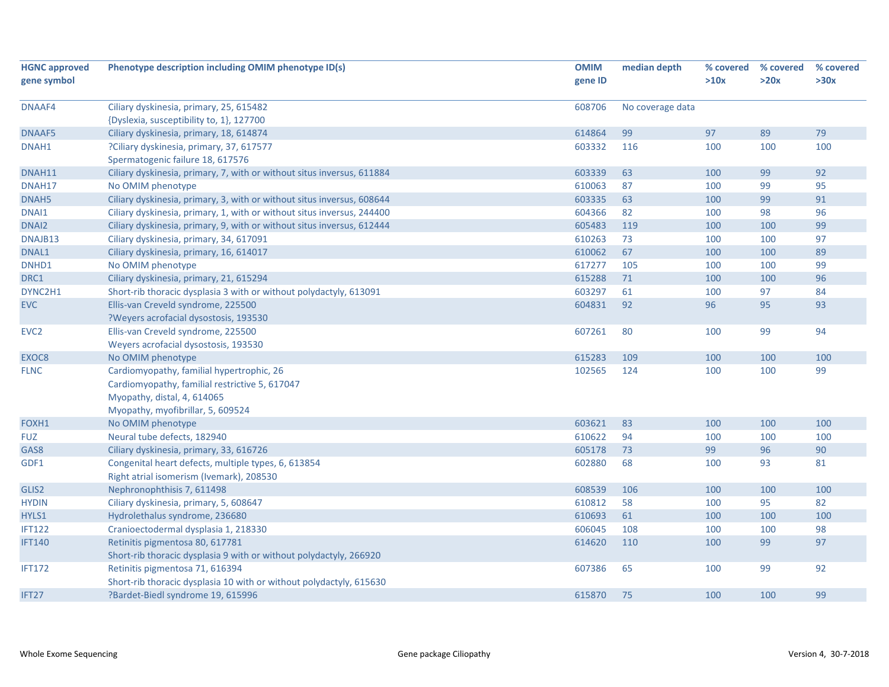| <b>HGNC approved</b> | Phenotype description including OMIM phenotype ID(s)                   | <b>OMIM</b> | median depth     | % covered | % covered | % covered |
|----------------------|------------------------------------------------------------------------|-------------|------------------|-----------|-----------|-----------|
| gene symbol          |                                                                        | gene ID     |                  | >10x      | >20x      | >30x      |
|                      |                                                                        |             |                  |           |           |           |
| DNAAF4               | Ciliary dyskinesia, primary, 25, 615482                                | 608706      | No coverage data |           |           |           |
|                      | {Dyslexia, susceptibility to, 1}, 127700                               |             |                  |           |           |           |
| DNAAF5               | Ciliary dyskinesia, primary, 18, 614874                                | 614864      | 99               | 97        | 89        | 79        |
| DNAH1                | ?Ciliary dyskinesia, primary, 37, 617577                               | 603332      | 116              | 100       | 100       | 100       |
|                      | Spermatogenic failure 18, 617576                                       |             |                  |           |           |           |
| DNAH11               | Ciliary dyskinesia, primary, 7, with or without situs inversus, 611884 | 603339      | 63               | 100       | 99        | 92        |
| DNAH17               | No OMIM phenotype                                                      | 610063      | 87               | 100       | 99        | 95        |
| DNAH <sub>5</sub>    | Ciliary dyskinesia, primary, 3, with or without situs inversus, 608644 | 603335      | 63               | 100       | 99        | 91        |
| DNAI1                | Ciliary dyskinesia, primary, 1, with or without situs inversus, 244400 | 604366      | 82               | 100       | 98        | 96        |
| DNAI2                | Ciliary dyskinesia, primary, 9, with or without situs inversus, 612444 | 605483      | 119              | 100       | 100       | 99        |
| DNAJB13              | Ciliary dyskinesia, primary, 34, 617091                                | 610263      | 73               | 100       | 100       | 97        |
| DNAL1                | Ciliary dyskinesia, primary, 16, 614017                                | 610062      | 67               | 100       | 100       | 89        |
| DNHD1                | No OMIM phenotype                                                      | 617277      | 105              | 100       | 100       | 99        |
| DRC1                 | Ciliary dyskinesia, primary, 21, 615294                                | 615288      | 71               | 100       | 100       | 96        |
| DYNC2H1              | Short-rib thoracic dysplasia 3 with or without polydactyly, 613091     | 603297      | 61               | 100       | 97        | 84        |
| <b>EVC</b>           | Ellis-van Creveld syndrome, 225500                                     | 604831      | 92               | 96        | 95        | 93        |
|                      | ?Weyers acrofacial dysostosis, 193530                                  |             |                  |           |           |           |
| EVC <sub>2</sub>     | Ellis-van Creveld syndrome, 225500                                     | 607261      | 80               | 100       | 99        | 94        |
|                      | Weyers acrofacial dysostosis, 193530                                   |             |                  |           |           |           |
| EXOC <sub>8</sub>    | No OMIM phenotype                                                      | 615283      | 109              | 100       | 100       | 100       |
| <b>FLNC</b>          | Cardiomyopathy, familial hypertrophic, 26                              | 102565      | 124              | 100       | 100       | 99        |
|                      | Cardiomyopathy, familial restrictive 5, 617047                         |             |                  |           |           |           |
|                      | Myopathy, distal, 4, 614065                                            |             |                  |           |           |           |
|                      | Myopathy, myofibrillar, 5, 609524                                      |             |                  |           |           |           |
| FOXH1                | No OMIM phenotype                                                      | 603621      | 83               | 100       | 100       | 100       |
| <b>FUZ</b>           | Neural tube defects, 182940                                            | 610622      | 94               | 100       | 100       | 100       |
| GAS8                 | Ciliary dyskinesia, primary, 33, 616726                                | 605178      | 73               | 99        | 96        | 90        |
| GDF1                 | Congenital heart defects, multiple types, 6, 613854                    | 602880      | 68               | 100       | 93        | 81        |
|                      | Right atrial isomerism (Ivemark), 208530                               |             |                  |           |           |           |
| GLIS2                | Nephronophthisis 7, 611498                                             | 608539      | 106              | 100       | 100       | 100       |
| <b>HYDIN</b>         | Ciliary dyskinesia, primary, 5, 608647                                 | 610812      | 58               | 100       | 95        | 82        |
| HYLS1                | Hydrolethalus syndrome, 236680                                         | 610693      | 61               | 100       | 100       | 100       |
| <b>IFT122</b>        | Cranioectodermal dysplasia 1, 218330                                   | 606045      | 108              | 100       | 100       | 98        |
| <b>IFT140</b>        | Retinitis pigmentosa 80, 617781                                        | 614620      | 110              | 100       | 99        | 97        |
|                      | Short-rib thoracic dysplasia 9 with or without polydactyly, 266920     |             |                  |           |           |           |
| <b>IFT172</b>        | Retinitis pigmentosa 71, 616394                                        | 607386      | 65               | 100       | 99        | 92        |
|                      | Short-rib thoracic dysplasia 10 with or without polydactyly, 615630    |             |                  |           |           |           |
| IFT27                | ?Bardet-Biedl syndrome 19, 615996                                      | 615870      | 75               | 100       | 100       | 99        |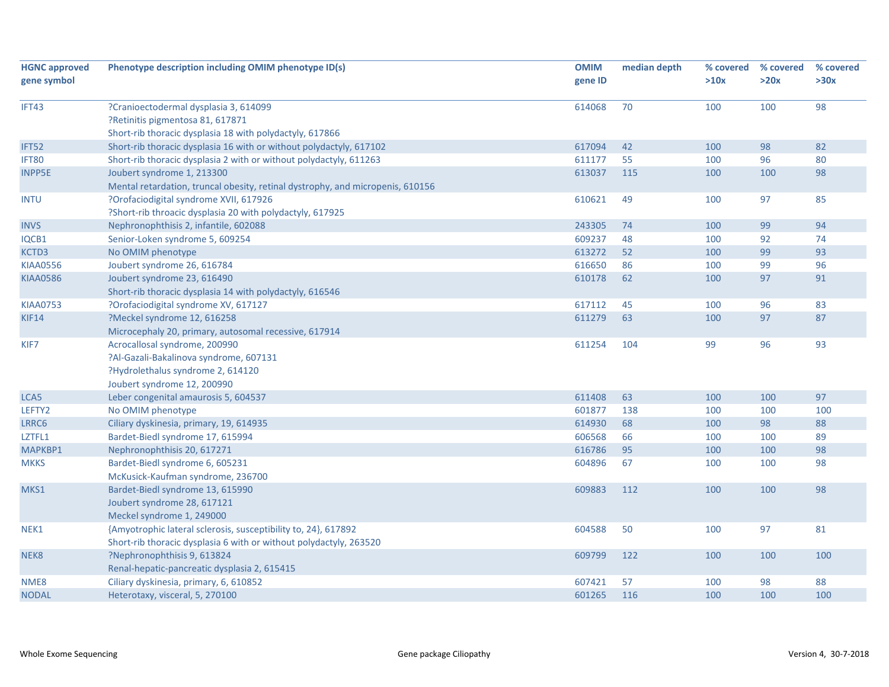| <b>HGNC approved</b> | Phenotype description including OMIM phenotype ID(s)                           | <b>OMIM</b> | median depth | % covered | % covered | % covered |
|----------------------|--------------------------------------------------------------------------------|-------------|--------------|-----------|-----------|-----------|
| gene symbol          |                                                                                | gene ID     |              | >10x      | >20x      | >30x      |
|                      |                                                                                |             |              |           |           |           |
| IFT43                | ?Cranioectodermal dysplasia 3, 614099                                          | 614068      | 70           | 100       | 100       | 98        |
|                      | ?Retinitis pigmentosa 81, 617871                                               |             |              |           |           |           |
|                      | Short-rib thoracic dysplasia 18 with polydactyly, 617866                       |             |              |           |           |           |
| IFT52                | Short-rib thoracic dysplasia 16 with or without polydactyly, 617102            | 617094      | 42           | 100       | 98        | 82        |
| IFT80                | Short-rib thoracic dysplasia 2 with or without polydactyly, 611263             | 611177      | 55           | 100       | 96        | 80        |
| <b>INPP5E</b>        | Joubert syndrome 1, 213300                                                     | 613037      | 115          | 100       | 100       | 98        |
|                      | Mental retardation, truncal obesity, retinal dystrophy, and micropenis, 610156 |             |              |           |           |           |
| <b>INTU</b>          | ?Orofaciodigital syndrome XVII, 617926                                         | 610621      | 49           | 100       | 97        | 85        |
|                      | ?Short-rib throacic dysplasia 20 with polydactyly, 617925                      |             |              |           |           |           |
| <b>INVS</b>          | Nephronophthisis 2, infantile, 602088                                          | 243305      | 74           | 100       | 99        | 94        |
| IQCB1                | Senior-Loken syndrome 5, 609254                                                | 609237      | 48           | 100       | 92        | 74        |
| KCTD3                | No OMIM phenotype                                                              | 613272      | 52           | 100       | 99        | 93        |
| <b>KIAA0556</b>      | Joubert syndrome 26, 616784                                                    | 616650      | 86           | 100       | 99        | 96        |
| <b>KIAA0586</b>      | Joubert syndrome 23, 616490                                                    | 610178      | 62           | 100       | 97        | 91        |
|                      | Short-rib thoracic dysplasia 14 with polydactyly, 616546                       |             |              |           |           |           |
| <b>KIAA0753</b>      | ?Orofaciodigital syndrome XV, 617127                                           | 617112      | 45           | 100       | 96        | 83        |
| <b>KIF14</b>         | ?Meckel syndrome 12, 616258                                                    | 611279      | 63           | 100       | 97        | 87        |
|                      | Microcephaly 20, primary, autosomal recessive, 617914                          |             |              |           |           |           |
| KIF7                 | Acrocallosal syndrome, 200990                                                  | 611254      | 104          | 99        | 96        | 93        |
|                      | ?Al-Gazali-Bakalinova syndrome, 607131                                         |             |              |           |           |           |
|                      | ?Hydrolethalus syndrome 2, 614120                                              |             |              |           |           |           |
|                      | Joubert syndrome 12, 200990                                                    |             |              |           |           |           |
| LCA5                 | Leber congenital amaurosis 5, 604537                                           | 611408      | 63           | 100       | 100       | 97        |
| LEFTY2               | No OMIM phenotype                                                              | 601877      | 138          | 100       | 100       | 100       |
| LRRC6                | Ciliary dyskinesia, primary, 19, 614935                                        | 614930      | 68           | 100       | 98        | 88        |
| LZTFL1               | Bardet-Biedl syndrome 17, 615994                                               | 606568      | 66           | 100       | 100       | 89        |
| MAPKBP1              | Nephronophthisis 20, 617271                                                    | 616786      | 95           | 100       | 100       | 98        |
| <b>MKKS</b>          | Bardet-Biedl syndrome 6, 605231                                                | 604896      | 67           | 100       | 100       | 98        |
|                      | McKusick-Kaufman syndrome, 236700                                              |             |              |           |           |           |
| MKS1                 | Bardet-Biedl syndrome 13, 615990                                               | 609883      | 112          | 100       | 100       | 98        |
|                      | Joubert syndrome 28, 617121                                                    |             |              |           |           |           |
|                      | Meckel syndrome 1, 249000                                                      |             |              |           |           |           |
| NEK1                 | {Amyotrophic lateral sclerosis, susceptibility to, 24}, 617892                 | 604588      | 50           | 100       | 97        | 81        |
|                      | Short-rib thoracic dysplasia 6 with or without polydactyly, 263520             |             |              |           |           |           |
| NEK8                 | ?Nephronophthisis 9, 613824                                                    | 609799      | 122          | 100       | 100       | 100       |
|                      | Renal-hepatic-pancreatic dysplasia 2, 615415                                   |             |              |           |           |           |
| NME8                 | Ciliary dyskinesia, primary, 6, 610852                                         | 607421      | 57           | 100       | 98        | 88        |
|                      |                                                                                |             | 116          |           |           |           |
| <b>NODAL</b>         | Heterotaxy, visceral, 5, 270100                                                | 601265      |              | 100       | 100       | 100       |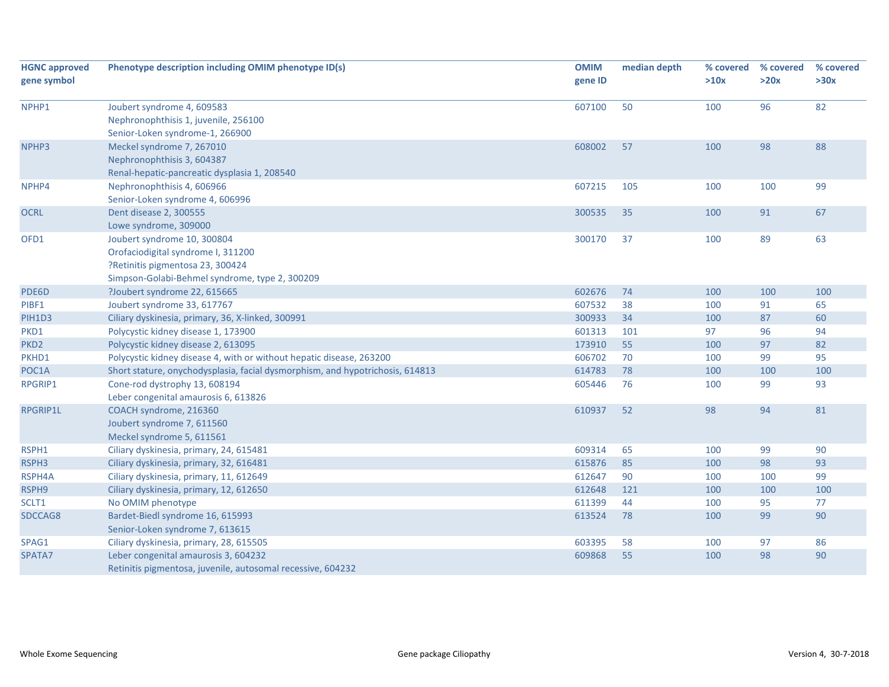| <b>HGNC approved</b> | Phenotype description including OMIM phenotype ID(s)                          | <b>OMIM</b> | median depth | % covered | % covered | % covered |
|----------------------|-------------------------------------------------------------------------------|-------------|--------------|-----------|-----------|-----------|
| gene symbol          |                                                                               | gene ID     |              | >10x      | >20x      | >30x      |
|                      |                                                                               |             |              |           |           |           |
| NPHP1                | Joubert syndrome 4, 609583                                                    | 607100      | 50           | 100       | 96        | 82        |
|                      | Nephronophthisis 1, juvenile, 256100                                          |             |              |           |           |           |
|                      | Senior-Loken syndrome-1, 266900                                               |             |              |           |           |           |
| NPHP3                | Meckel syndrome 7, 267010                                                     | 608002      | 57           | 100       | 98        | 88        |
|                      | Nephronophthisis 3, 604387                                                    |             |              |           |           |           |
|                      | Renal-hepatic-pancreatic dysplasia 1, 208540                                  |             |              |           |           |           |
| NPHP4                | Nephronophthisis 4, 606966                                                    | 607215      | 105          | 100       | 100       | 99        |
|                      | Senior-Loken syndrome 4, 606996                                               |             |              |           |           |           |
| <b>OCRL</b>          | Dent disease 2, 300555                                                        | 300535      | 35           | 100       | 91        | 67        |
|                      | Lowe syndrome, 309000                                                         |             |              |           |           |           |
| OFD1                 | Joubert syndrome 10, 300804                                                   | 300170      | 37           | 100       | 89        | 63        |
|                      | Orofaciodigital syndrome I, 311200                                            |             |              |           |           |           |
|                      | ?Retinitis pigmentosa 23, 300424                                              |             |              |           |           |           |
|                      | Simpson-Golabi-Behmel syndrome, type 2, 300209                                |             |              |           |           |           |
| PDE6D                | ?Joubert syndrome 22, 615665                                                  | 602676      | 74           | 100       | 100       | 100       |
| PIBF1                | Joubert syndrome 33, 617767                                                   | 607532      | 38           | 100       | 91        | 65        |
| PIH1D3               | Ciliary dyskinesia, primary, 36, X-linked, 300991                             | 300933      | 34           | 100       | 87        | 60        |
| PKD1                 | Polycystic kidney disease 1, 173900                                           | 601313      | 101          | 97        | 96        | 94        |
| PKD <sub>2</sub>     | Polycystic kidney disease 2, 613095                                           | 173910      | 55           | 100       | 97        | 82        |
| PKHD1                | Polycystic kidney disease 4, with or without hepatic disease, 263200          | 606702      | 70           | 100       | 99        | 95        |
| POC1A                | Short stature, onychodysplasia, facial dysmorphism, and hypotrichosis, 614813 | 614783      | 78           | 100       | 100       | 100       |
| RPGRIP1              | Cone-rod dystrophy 13, 608194                                                 | 605446      | 76           | 100       | 99        | 93        |
|                      | Leber congenital amaurosis 6, 613826                                          |             |              |           |           |           |
| RPGRIP1L             | COACH syndrome, 216360                                                        | 610937      | 52           | 98        | 94        | 81        |
|                      | Joubert syndrome 7, 611560                                                    |             |              |           |           |           |
|                      | Meckel syndrome 5, 611561                                                     |             |              |           |           |           |
| RSPH1                | Ciliary dyskinesia, primary, 24, 615481                                       | 609314      | 65           | 100       | 99        | 90        |
| RSPH3                | Ciliary dyskinesia, primary, 32, 616481                                       | 615876      | 85           | 100       | 98        | 93        |
| RSPH4A               | Ciliary dyskinesia, primary, 11, 612649                                       | 612647      | 90           | 100       | 100       | 99        |
| RSPH9                | Ciliary dyskinesia, primary, 12, 612650                                       | 612648      | 121          | 100       | 100       | 100       |
| SCLT1                | No OMIM phenotype                                                             | 611399      | 44           | 100       | 95        | 77        |
| SDCCAG8              | Bardet-Biedl syndrome 16, 615993                                              | 613524      | 78           | 100       | 99        | 90        |
|                      | Senior-Loken syndrome 7, 613615                                               |             |              |           |           |           |
| SPAG1                | Ciliary dyskinesia, primary, 28, 615505                                       | 603395      | 58           | 100       | 97        | 86        |
| SPATA7               | Leber congenital amaurosis 3, 604232                                          | 609868      | 55           | 100       | 98        | 90        |
|                      | Retinitis pigmentosa, juvenile, autosomal recessive, 604232                   |             |              |           |           |           |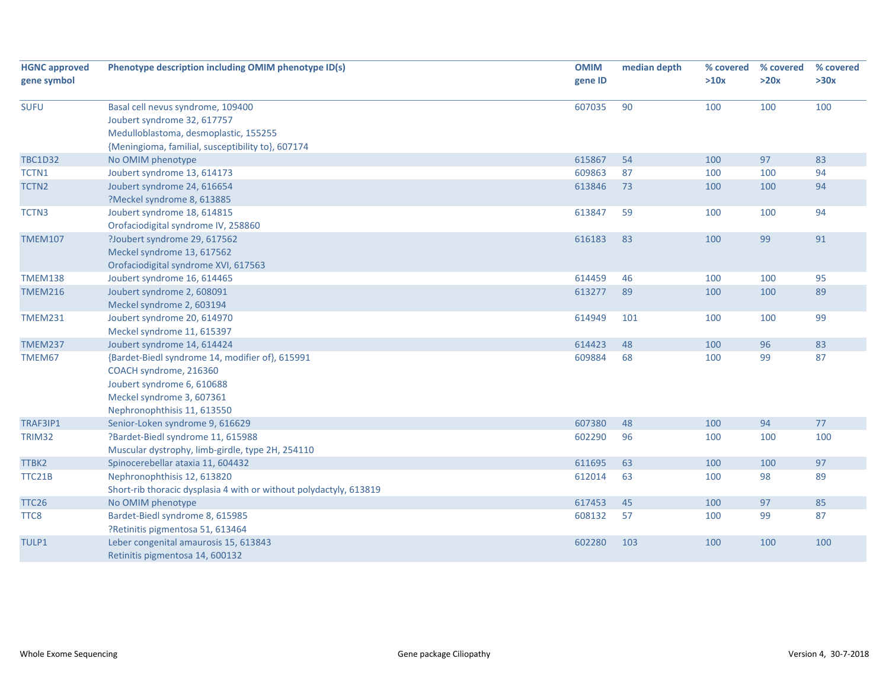| <b>HGNC approved</b> | Phenotype description including OMIM phenotype ID(s)               | <b>OMIM</b> | median depth | % covered | % covered | % covered |
|----------------------|--------------------------------------------------------------------|-------------|--------------|-----------|-----------|-----------|
| gene symbol          |                                                                    | gene ID     |              | >10x      | >20x      | >30x      |
|                      |                                                                    |             |              |           |           |           |
| <b>SUFU</b>          | Basal cell nevus syndrome, 109400                                  | 607035      | 90           | 100       | 100       | 100       |
|                      | Joubert syndrome 32, 617757                                        |             |              |           |           |           |
|                      | Medulloblastoma, desmoplastic, 155255                              |             |              |           |           |           |
|                      | {Meningioma, familial, susceptibility to}, 607174                  |             |              |           |           |           |
| <b>TBC1D32</b>       | No OMIM phenotype                                                  | 615867      | 54           | 100       | 97        | 83        |
| TCTN1                | Joubert syndrome 13, 614173                                        | 609863      | 87           | 100       | 100       | 94        |
| TCTN <sub>2</sub>    | Joubert syndrome 24, 616654                                        | 613846      | 73           | 100       | 100       | 94        |
|                      | ?Meckel syndrome 8, 613885                                         |             |              |           |           |           |
| TCTN3                | Joubert syndrome 18, 614815                                        | 613847      | 59           | 100       | 100       | 94        |
|                      | Orofaciodigital syndrome IV, 258860                                |             |              |           |           |           |
| <b>TMEM107</b>       | ?Joubert syndrome 29, 617562                                       | 616183      | 83           | 100       | 99        | 91        |
|                      | Meckel syndrome 13, 617562                                         |             |              |           |           |           |
|                      | Orofaciodigital syndrome XVI, 617563                               |             |              |           |           |           |
| <b>TMEM138</b>       | Joubert syndrome 16, 614465                                        | 614459      | 46           | 100       | 100       | 95        |
| <b>TMEM216</b>       | Joubert syndrome 2, 608091                                         | 613277      | 89           | 100       | 100       | 89        |
|                      | Meckel syndrome 2, 603194                                          |             |              |           |           |           |
| <b>TMEM231</b>       | Joubert syndrome 20, 614970                                        | 614949      | 101          | 100       | 100       | 99        |
|                      | Meckel syndrome 11, 615397                                         |             |              |           |           |           |
| <b>TMEM237</b>       | Joubert syndrome 14, 614424                                        | 614423      | 48           | 100       | 96        | 83        |
| TMEM67               | {Bardet-Biedl syndrome 14, modifier of}, 615991                    | 609884      | 68           | 100       | 99        | 87        |
|                      | COACH syndrome, 216360                                             |             |              |           |           |           |
|                      | Joubert syndrome 6, 610688                                         |             |              |           |           |           |
|                      | Meckel syndrome 3, 607361                                          |             |              |           |           |           |
|                      | Nephronophthisis 11, 613550                                        |             |              |           |           |           |
| TRAF3IP1             | Senior-Loken syndrome 9, 616629                                    | 607380      | 48           | 100       | 94        | 77        |
| TRIM32               | ?Bardet-Biedl syndrome 11, 615988                                  | 602290      | 96           | 100       | 100       | 100       |
|                      | Muscular dystrophy, limb-girdle, type 2H, 254110                   |             |              |           |           |           |
| TTBK2                | Spinocerebellar ataxia 11, 604432                                  | 611695      | 63           | 100       | 100       | 97        |
| TTC21B               | Nephronophthisis 12, 613820                                        | 612014      | 63           | 100       | 98        | 89        |
|                      | Short-rib thoracic dysplasia 4 with or without polydactyly, 613819 |             |              |           |           |           |
| TTC <sub>26</sub>    | No OMIM phenotype                                                  | 617453      | 45           | 100       | 97        | 85        |
| TTC8                 | Bardet-Biedl syndrome 8, 615985                                    | 608132      | 57           | 100       | 99        | 87        |
|                      | ?Retinitis pigmentosa 51, 613464                                   |             |              |           |           |           |
| TULP1                | Leber congenital amaurosis 15, 613843                              | 602280      | 103          | 100       | 100       | 100       |
|                      | Retinitis pigmentosa 14, 600132                                    |             |              |           |           |           |